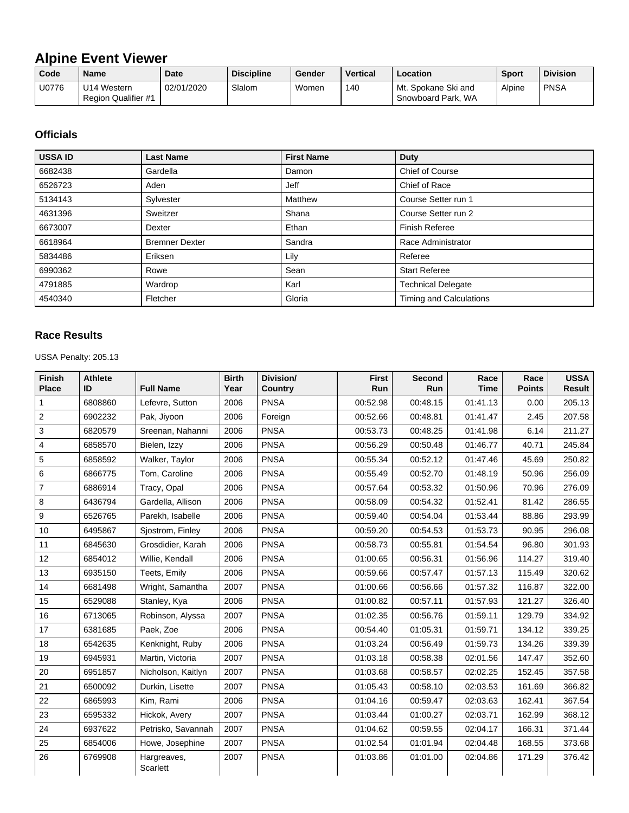## **Alpine Event Viewer**

| Code  | <b>Name</b>                                | <b>Date</b> | <b>Discipline</b> | Gender | <b>Vertical</b> | Location                                  | <b>Sport</b> | <b>Division</b> |
|-------|--------------------------------------------|-------------|-------------------|--------|-----------------|-------------------------------------------|--------------|-----------------|
| U0776 | 'J14 Western<br><b>Region Qualifier #1</b> | 02/01/2020  | Slalom            | Women  | 140             | Mt. Spokane Ski and<br>Snowboard Park, WA | Alpine       | <b>PNSA</b>     |

## **Officials**

| <b>USSA ID</b> | <b>Last Name</b>      | <b>First Name</b> | <b>Duty</b>               |
|----------------|-----------------------|-------------------|---------------------------|
| 6682438        | Gardella              | Damon             | <b>Chief of Course</b>    |
| 6526723        | Aden                  | Jeff              | Chief of Race             |
| 5134143        | Sylvester             | Matthew           | Course Setter run 1       |
| 4631396        | Sweitzer              | Shana             | Course Setter run 2       |
| 6673007        | Dexter                | Ethan             | Finish Referee            |
| 6618964        | <b>Bremner Dexter</b> | Sandra            | Race Administrator        |
| 5834486        | Eriksen               | Lily              | Referee                   |
| 6990362        | Rowe                  | Sean              | <b>Start Referee</b>      |
| 4791885        | Wardrop               | Karl              | <b>Technical Delegate</b> |
| 4540340        | Fletcher              | Gloria            | Timing and Calculations   |

## **Race Results**

USSA Penalty: 205.13

| <b>Finish</b><br><b>Place</b> | <b>Athlete</b><br>ID | <b>Full Name</b>        | <b>Birth</b><br>Year | Division/<br><b>Country</b> | <b>First</b><br>Run | <b>Second</b><br>Run | Race<br><b>Time</b> | Race<br><b>Points</b> | <b>USSA</b><br><b>Result</b> |
|-------------------------------|----------------------|-------------------------|----------------------|-----------------------------|---------------------|----------------------|---------------------|-----------------------|------------------------------|
| 1                             | 6808860              | Lefevre, Sutton         | 2006                 | <b>PNSA</b>                 | 00:52.98            | 00:48.15             | 01:41.13            | 0.00                  | 205.13                       |
| $\overline{c}$                | 6902232              | Pak, Jiyoon             | 2006                 | Foreign                     | 00:52.66            | 00:48.81             | 01:41.47            | 2.45                  | 207.58                       |
| 3                             | 6820579              | Sreenan, Nahanni        | 2006                 | <b>PNSA</b>                 | 00:53.73            | 00:48.25             | 01:41.98            | 6.14                  | 211.27                       |
| 4                             | 6858570              | Bielen, Izzy            | 2006                 | <b>PNSA</b>                 | 00:56.29            | 00:50.48             | 01:46.77            | 40.71                 | 245.84                       |
| 5                             | 6858592              | Walker, Taylor          | 2006                 | <b>PNSA</b>                 | 00:55.34            | 00:52.12             | 01:47.46            | 45.69                 | 250.82                       |
| 6                             | 6866775              | Tom, Caroline           | 2006                 | <b>PNSA</b>                 | 00:55.49            | 00:52.70             | 01:48.19            | 50.96                 | 256.09                       |
| $\overline{7}$                | 6886914              | Tracy, Opal             | 2006                 | <b>PNSA</b>                 | 00:57.64            | 00:53.32             | 01:50.96            | 70.96                 | 276.09                       |
| 8                             | 6436794              | Gardella, Allison       | 2006                 | <b>PNSA</b>                 | 00:58.09            | 00:54.32             | 01:52.41            | 81.42                 | 286.55                       |
| 9                             | 6526765              | Parekh, Isabelle        | 2006                 | <b>PNSA</b>                 | 00:59.40            | 00:54.04             | 01:53.44            | 88.86                 | 293.99                       |
| 10                            | 6495867              | Sjostrom, Finley        | 2006                 | <b>PNSA</b>                 | 00:59.20            | 00:54.53             | 01:53.73            | 90.95                 | 296.08                       |
| 11                            | 6845630              | Grosdidier, Karah       | 2006                 | <b>PNSA</b>                 | 00:58.73            | 00:55.81             | 01:54.54            | 96.80                 | 301.93                       |
| 12                            | 6854012              | Willie, Kendall         | 2006                 | <b>PNSA</b>                 | 01:00.65            | 00:56.31             | 01:56.96            | 114.27                | 319.40                       |
| 13                            | 6935150              | Teets, Emily            | 2006                 | <b>PNSA</b>                 | 00:59.66            | 00:57.47             | 01:57.13            | 115.49                | 320.62                       |
| 14                            | 6681498              | Wright, Samantha        | 2007                 | <b>PNSA</b>                 | 01:00.66            | 00:56.66             | 01:57.32            | 116.87                | 322.00                       |
| 15                            | 6529088              | Stanley, Kya            | 2006                 | <b>PNSA</b>                 | 01:00.82            | 00:57.11             | 01:57.93            | 121.27                | 326.40                       |
| 16                            | 6713065              | Robinson, Alyssa        | 2007                 | <b>PNSA</b>                 | 01:02.35            | 00:56.76             | 01:59.11            | 129.79                | 334.92                       |
| 17                            | 6381685              | Paek, Zoe               | 2006                 | <b>PNSA</b>                 | 00:54.40            | 01:05.31             | 01:59.71            | 134.12                | 339.25                       |
| 18                            | 6542635              | Kenknight, Ruby         | 2006                 | <b>PNSA</b>                 | 01:03.24            | 00:56.49             | 01:59.73            | 134.26                | 339.39                       |
| 19                            | 6945931              | Martin, Victoria        | 2007                 | <b>PNSA</b>                 | 01:03.18            | 00:58.38             | 02:01.56            | 147.47                | 352.60                       |
| 20                            | 6951857              | Nicholson, Kaitlyn      | 2007                 | <b>PNSA</b>                 | 01:03.68            | 00:58.57             | 02:02.25            | 152.45                | 357.58                       |
| 21                            | 6500092              | Durkin, Lisette         | 2007                 | <b>PNSA</b>                 | 01:05.43            | 00:58.10             | 02:03.53            | 161.69                | 366.82                       |
| 22                            | 6865993              | Kim, Rami               | 2006                 | <b>PNSA</b>                 | 01:04.16            | 00:59.47             | 02:03.63            | 162.41                | 367.54                       |
| 23                            | 6595332              | Hickok, Avery           | 2007                 | <b>PNSA</b>                 | 01:03.44            | 01:00.27             | 02:03.71            | 162.99                | 368.12                       |
| 24                            | 6937622              | Petrisko, Savannah      | 2007                 | <b>PNSA</b>                 | 01:04.62            | 00:59.55             | 02:04.17            | 166.31                | 371.44                       |
| 25                            | 6854006              | Howe, Josephine         | 2007                 | <b>PNSA</b>                 | 01:02.54            | 01:01.94             | 02:04.48            | 168.55                | 373.68                       |
| 26                            | 6769908              | Hargreaves,<br>Scarlett | 2007                 | <b>PNSA</b>                 | 01:03.86            | 01:01.00             | 02:04.86            | 171.29                | 376.42                       |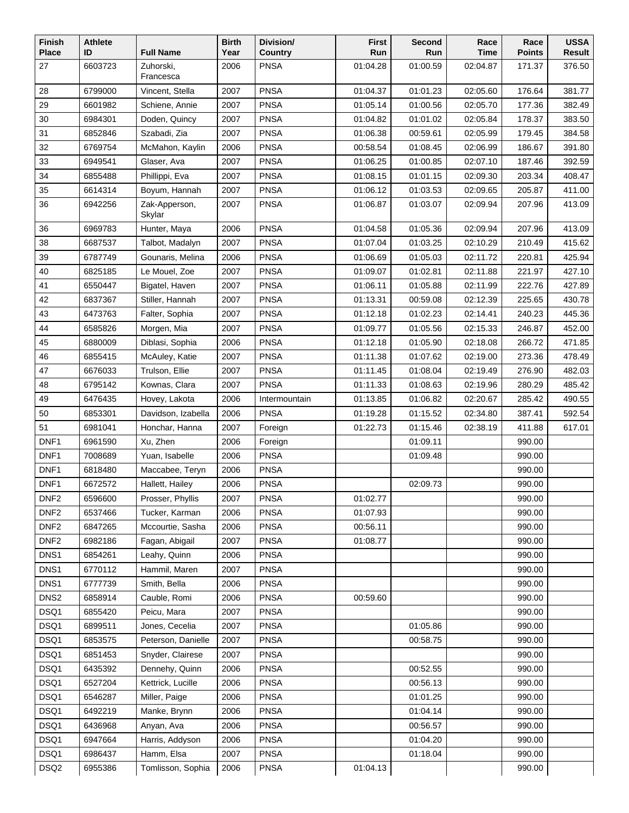| Finish<br><b>Place</b> | <b>Athlete</b><br>ID | <b>Full Name</b>        | <b>Birth</b><br>Year | Division/<br>Country | <b>First</b><br>Run | Second<br>Run | Race<br>Time | Race<br><b>Points</b> | <b>USSA</b><br>Result |
|------------------------|----------------------|-------------------------|----------------------|----------------------|---------------------|---------------|--------------|-----------------------|-----------------------|
| 27                     | 6603723              | Zuhorski,               | 2006                 | <b>PNSA</b>          | 01:04.28            | 01:00.59      | 02:04.87     | 171.37                | 376.50                |
|                        |                      | Francesca               |                      |                      |                     |               |              |                       |                       |
| 28                     | 6799000              | Vincent, Stella         | 2007                 | <b>PNSA</b>          | 01:04.37            | 01:01.23      | 02:05.60     | 176.64                | 381.77                |
| 29                     | 6601982              | Schiene, Annie          | 2007                 | <b>PNSA</b>          | 01:05.14            | 01:00.56      | 02:05.70     | 177.36                | 382.49                |
| 30                     | 6984301              | Doden, Quincy           | 2007                 | <b>PNSA</b>          | 01:04.82            | 01:01.02      | 02:05.84     | 178.37                | 383.50                |
| 31                     | 6852846              | Szabadi, Zia            | 2007                 | <b>PNSA</b>          | 01:06.38            | 00:59.61      | 02:05.99     | 179.45                | 384.58                |
| 32                     | 6769754              | McMahon, Kaylin         | 2006                 | <b>PNSA</b>          | 00:58.54            | 01:08.45      | 02:06.99     | 186.67                | 391.80                |
| 33                     | 6949541              | Glaser, Ava             | 2007                 | <b>PNSA</b>          | 01:06.25            | 01:00.85      | 02:07.10     | 187.46                | 392.59                |
| 34                     | 6855488              | Phillippi, Eva          | 2007                 | <b>PNSA</b>          | 01:08.15            | 01:01.15      | 02:09.30     | 203.34                | 408.47                |
| 35                     | 6614314              | Boyum, Hannah           | 2007                 | <b>PNSA</b>          | 01:06.12            | 01:03.53      | 02:09.65     | 205.87                | 411.00                |
| 36                     | 6942256              | Zak-Apperson,<br>Skylar | 2007                 | <b>PNSA</b>          | 01:06.87            | 01:03.07      | 02:09.94     | 207.96                | 413.09                |
| 36                     | 6969783              | Hunter, Maya            | 2006                 | <b>PNSA</b>          | 01:04.58            | 01:05.36      | 02:09.94     | 207.96                | 413.09                |
| 38                     | 6687537              | Talbot, Madalyn         | 2007                 | <b>PNSA</b>          | 01:07.04            | 01:03.25      | 02:10.29     | 210.49                | 415.62                |
| 39                     | 6787749              | Gounaris, Melina        | 2006                 | <b>PNSA</b>          | 01:06.69            | 01:05.03      | 02:11.72     | 220.81                | 425.94                |
| 40                     | 6825185              | Le Mouel, Zoe           | 2007                 | <b>PNSA</b>          | 01:09.07            | 01:02.81      | 02:11.88     | 221.97                | 427.10                |
| 41                     | 6550447              | Bigatel, Haven          | 2007                 | <b>PNSA</b>          | 01:06.11            | 01:05.88      | 02:11.99     | 222.76                | 427.89                |
| 42                     | 6837367              | Stiller, Hannah         | 2007                 | <b>PNSA</b>          | 01:13.31            | 00:59.08      | 02:12.39     | 225.65                | 430.78                |
| 43                     | 6473763              | Falter, Sophia          | 2007                 | <b>PNSA</b>          | 01:12.18            | 01:02.23      | 02:14.41     | 240.23                | 445.36                |
| 44                     | 6585826              | Morgen, Mia             | 2007                 | <b>PNSA</b>          | 01:09.77            | 01:05.56      | 02:15.33     | 246.87                | 452.00                |
| 45                     | 6880009              | Diblasi, Sophia         | 2006                 | <b>PNSA</b>          | 01:12.18            | 01:05.90      | 02:18.08     | 266.72                | 471.85                |
| 46                     | 6855415              | McAuley, Katie          | 2007                 | <b>PNSA</b>          | 01:11.38            | 01:07.62      | 02:19.00     | 273.36                | 478.49                |
| 47                     | 6676033              | Trulson, Ellie          | 2007                 | <b>PNSA</b>          | 01:11.45            | 01:08.04      | 02:19.49     | 276.90                | 482.03                |
| 48                     | 6795142              | Kownas, Clara           | 2007                 | <b>PNSA</b>          | 01:11.33            | 01:08.63      | 02:19.96     | 280.29                | 485.42                |
| 49                     | 6476435              | Hovey, Lakota           | 2006                 | Intermountain        | 01:13.85            | 01:06.82      | 02:20.67     | 285.42                | 490.55                |
| 50                     | 6853301              | Davidson, Izabella      | 2006                 | <b>PNSA</b>          | 01:19.28            | 01:15.52      | 02:34.80     | 387.41                | 592.54                |
| 51                     | 6981041              | Honchar, Hanna          | 2007                 | Foreign              | 01:22.73            | 01:15.46      | 02:38.19     | 411.88                | 617.01                |
| DNF1                   | 6961590              | Xu, Zhen                | 2006                 | Foreign              |                     | 01:09.11      |              | 990.00                |                       |
| DNF1                   | 7008689              | Yuan, Isabelle          | 2006                 | <b>PNSA</b>          |                     | 01:09.48      |              | 990.00                |                       |
| DNF1                   | 6818480              | Maccabee, Teryn         | 2006                 | <b>PNSA</b>          |                     |               |              | 990.00                |                       |
| DNF1                   | 6672572              | Hallett, Hailey         | 2006                 | <b>PNSA</b>          |                     | 02:09.73      |              | 990.00                |                       |
| DNF <sub>2</sub>       | 6596600              | Prosser, Phyllis        | 2007                 | <b>PNSA</b>          | 01:02.77            |               |              | 990.00                |                       |
| DNF <sub>2</sub>       | 6537466              | Tucker, Karman          | 2006                 | <b>PNSA</b>          | 01:07.93            |               |              | 990.00                |                       |
| DNF <sub>2</sub>       | 6847265              | Mccourtie, Sasha        | 2006                 | <b>PNSA</b>          | 00:56.11            |               |              | 990.00                |                       |
| DNF <sub>2</sub>       | 6982186              | Fagan, Abigail          | 2007                 | <b>PNSA</b>          | 01:08.77            |               |              | 990.00                |                       |
| DNS1                   | 6854261              | Leahy, Quinn            | 2006                 | <b>PNSA</b>          |                     |               |              | 990.00                |                       |
| DNS1                   | 6770112              | Hammil, Maren           | 2007                 | <b>PNSA</b>          |                     |               |              | 990.00                |                       |
| DNS <sub>1</sub>       | 6777739              | Smith, Bella            | 2006                 | <b>PNSA</b>          |                     |               |              | 990.00                |                       |
| DNS <sub>2</sub>       | 6858914              | Cauble, Romi            | 2006                 | <b>PNSA</b>          | 00:59.60            |               |              | 990.00                |                       |
| DSQ1                   | 6855420              | Peicu, Mara             | 2007                 | <b>PNSA</b>          |                     |               |              | 990.00                |                       |
| DSQ1                   | 6899511              | Jones, Cecelia          | 2007                 | <b>PNSA</b>          |                     | 01:05.86      |              | 990.00                |                       |
| DSQ1                   | 6853575              | Peterson, Danielle      | 2007                 | <b>PNSA</b>          |                     | 00:58.75      |              | 990.00                |                       |
| DSQ1                   | 6851453              | Snyder, Clairese        | 2007                 | <b>PNSA</b>          |                     |               |              | 990.00                |                       |
| DSQ1                   | 6435392              | Dennehy, Quinn          | 2006                 | <b>PNSA</b>          |                     | 00:52.55      |              | 990.00                |                       |
| DSQ1                   | 6527204              | Kettrick, Lucille       | 2006                 | <b>PNSA</b>          |                     | 00:56.13      |              | 990.00                |                       |
| DSQ1                   | 6546287              | Miller, Paige           | 2006                 | <b>PNSA</b>          |                     | 01:01.25      |              | 990.00                |                       |
| DSQ1                   | 6492219              | Manke, Brynn            | 2006                 | <b>PNSA</b>          |                     | 01:04.14      |              | 990.00                |                       |
| DSQ1                   | 6436968              | Anyan, Ava              | 2006                 | <b>PNSA</b>          |                     | 00:56.57      |              | 990.00                |                       |
| DSQ1                   | 6947664              | Harris, Addyson         | 2006                 | <b>PNSA</b>          |                     | 01:04.20      |              | 990.00                |                       |
| DSQ1                   | 6986437              | Hamm, Elsa              | 2007                 | <b>PNSA</b>          |                     | 01:18.04      |              | 990.00                |                       |
| DSQ <sub>2</sub>       | 6955386              | Tomlisson, Sophia       | 2006                 | <b>PNSA</b>          | 01:04.13            |               |              | 990.00                |                       |